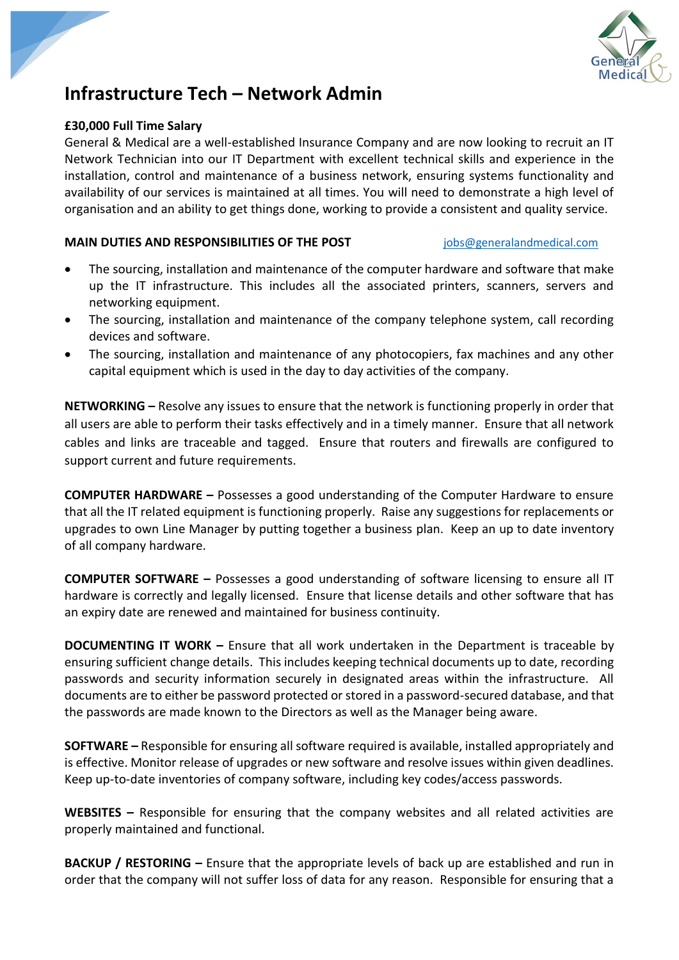

# **Infrastructure Tech – Network Admin**

## **£30,000 Full Time Salary**

General & Medical are a well-established Insurance Company and are now looking to recruit an IT Network Technician into our IT Department with excellent technical skills and experience in the installation, control and maintenance of a business network, ensuring systems functionality and availability of our services is maintained at all times. You will need to demonstrate a high level of organisation and an ability to get things done, working to provide a consistent and quality service.

### **MAIN DUTIES AND RESPONSIBILITIES OF THE POST** [jobs@generalandmedical.com](mailto:jobs@generalandmedical.com)

- The sourcing, installation and maintenance of the computer hardware and software that make up the IT infrastructure. This includes all the associated printers, scanners, servers and networking equipment.
- The sourcing, installation and maintenance of the company telephone system, call recording devices and software.
- The sourcing, installation and maintenance of any photocopiers, fax machines and any other capital equipment which is used in the day to day activities of the company.

**NETWORKING –** Resolve any issues to ensure that the network is functioning properly in order that all users are able to perform their tasks effectively and in a timely manner. Ensure that all network cables and links are traceable and tagged. Ensure that routers and firewalls are configured to support current and future requirements.

**COMPUTER HARDWARE –** Possesses a good understanding of the Computer Hardware to ensure that all the IT related equipment is functioning properly. Raise any suggestions for replacements or upgrades to own Line Manager by putting together a business plan. Keep an up to date inventory of all company hardware.

**COMPUTER SOFTWARE –** Possesses a good understanding of software licensing to ensure all IT hardware is correctly and legally licensed. Ensure that license details and other software that has an expiry date are renewed and maintained for business continuity.

**DOCUMENTING IT WORK –** Ensure that all work undertaken in the Department is traceable by ensuring sufficient change details. This includes keeping technical documents up to date, recording passwords and security information securely in designated areas within the infrastructure. All documents are to either be password protected or stored in a password-secured database, and that the passwords are made known to the Directors as well as the Manager being aware.

**SOFTWARE –** Responsible for ensuring all software required is available, installed appropriately and is effective. Monitor release of upgrades or new software and resolve issues within given deadlines. Keep up-to-date inventories of company software, including key codes/access passwords.

**WEBSITES –** Responsible for ensuring that the company websites and all related activities are properly maintained and functional.

**BACKUP / RESTORING –** Ensure that the appropriate levels of back up are established and run in order that the company will not suffer loss of data for any reason. Responsible for ensuring that a